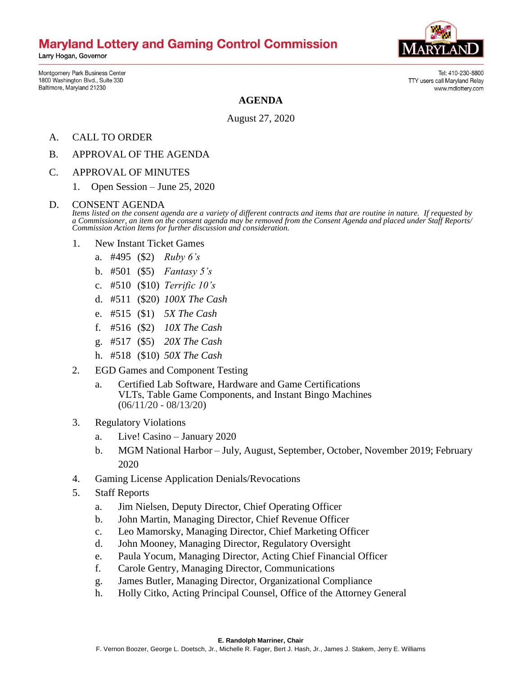# **Maryland Lottery and Gaming Control Commission**

Larry Hogan, Governor

Montgomery Park Business Center 1800 Washington Blvd., Suite 330 Baltimore, Maryland 21230



TTY users call Maryland Relay

Tel: 410-230-8800

www.mdlottery.com

**AGENDA**

August 27, 2020

- A. CALL TO ORDER
- B. APPROVAL OF THE AGENDA
- C. APPROVAL OF MINUTES
	- 1. Open Session June 25, 2020

#### D. CONSENT AGENDA

*Items listed on the consent agenda are a variety of different contracts and items that are routine in nature. If requested by a Commissioner, an item on the consent agenda may be removed from the Consent Agenda and placed under Staff Reports/ Commission Action Items for further discussion and consideration.*

- 1. New Instant Ticket Games
	- a. #495 (\$2) *Ruby 6's*
	- b. #501 (\$5) *Fantasy 5's*
	- c. #510 (\$10) *Terrific 10's*
	- d. #511 (\$20) *100X The Cash*
	- e. #515 (\$1) *5X The Cash*
	- f. #516 (\$2) *10X The Cash*
	- g. #517 (\$5) *20X The Cash*
	- h. #518 (\$10) *50X The Cash*
- 2. EGD Games and Component Testing
	- a. Certified Lab Software, Hardware and Game Certifications VLTs, Table Game Components, and Instant Bingo Machines (06/11/20 - 08/13/20)
- 3. Regulatory Violations
	- a. Live! Casino January 2020
	- b. MGM National Harbor July, August, September, October, November 2019; February 2020
- 4. Gaming License Application Denials/Revocations
- 5. Staff Reports
	- a. Jim Nielsen, Deputy Director, Chief Operating Officer
	- b. John Martin, Managing Director, Chief Revenue Officer
	- c. Leo Mamorsky, Managing Director, Chief Marketing Officer
	- d. John Mooney, Managing Director, Regulatory Oversight
	- e. Paula Yocum, Managing Director, Acting Chief Financial Officer
	- f. Carole Gentry, Managing Director, Communications
	- g. James Butler, Managing Director, Organizational Compliance
	- h. Holly Citko, Acting Principal Counsel, Office of the Attorney General